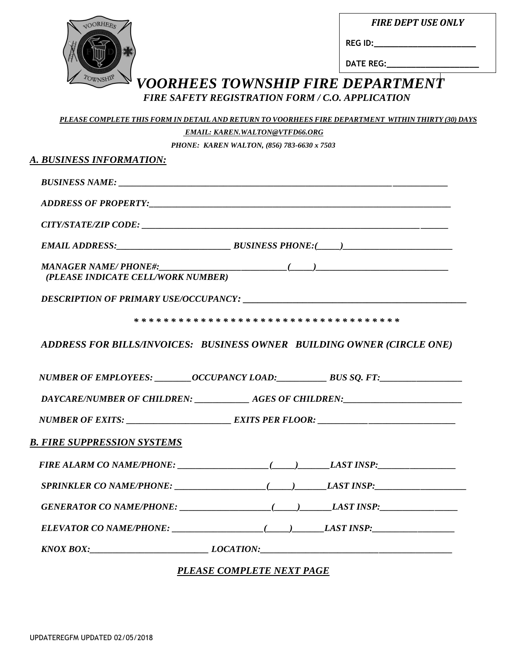*FIRE DEPT USE ONLY*

| ORHEES |  |
|--------|--|
|        |  |
|        |  |
|        |  |
|        |  |
|        |  |
|        |  |

**REG ID:\_\_\_\_\_\_\_\_\_\_\_\_\_\_\_\_\_\_\_\_\_**

**DATE REG:\_\_\_\_\_\_\_\_\_\_\_\_\_\_\_\_\_\_\_**

# *VOORHEES TOWNSHIP FIRE DEPARTMENT FIRE SAFETY REGISTRATION FORM / C.O. APPLICATION*

|                                                                                   | <b>EMAIL: KAREN.WALTON@VTFD66.ORG</b>      |  |
|-----------------------------------------------------------------------------------|--------------------------------------------|--|
|                                                                                   | PHONE: KAREN WALTON, (856) 783-6630 x 7503 |  |
| A. BUSINESS INFORMATION:                                                          |                                            |  |
|                                                                                   |                                            |  |
|                                                                                   |                                            |  |
|                                                                                   |                                            |  |
|                                                                                   |                                            |  |
| (PLEASE INDICATE CELL/WORK NUMBER)                                                |                                            |  |
|                                                                                   |                                            |  |
|                                                                                   |                                            |  |
| ADDRESS FOR BILLS/INVOICES: BUSINESS OWNER BUILDING OWNER (CIRCLE ONE)            |                                            |  |
| NUMBER OF EMPLOYEES: _________OCCUPANCY LOAD: ___________________________________ |                                            |  |
| DAYCARE/NUMBER OF CHILDREN: _______________ AGES OF CHILDREN: ___________________ |                                            |  |
|                                                                                   |                                            |  |
| B. FIRE SUPPRESSION SYSTEMS                                                       |                                            |  |
|                                                                                   |                                            |  |
|                                                                                   |                                            |  |
|                                                                                   |                                            |  |
|                                                                                   |                                            |  |